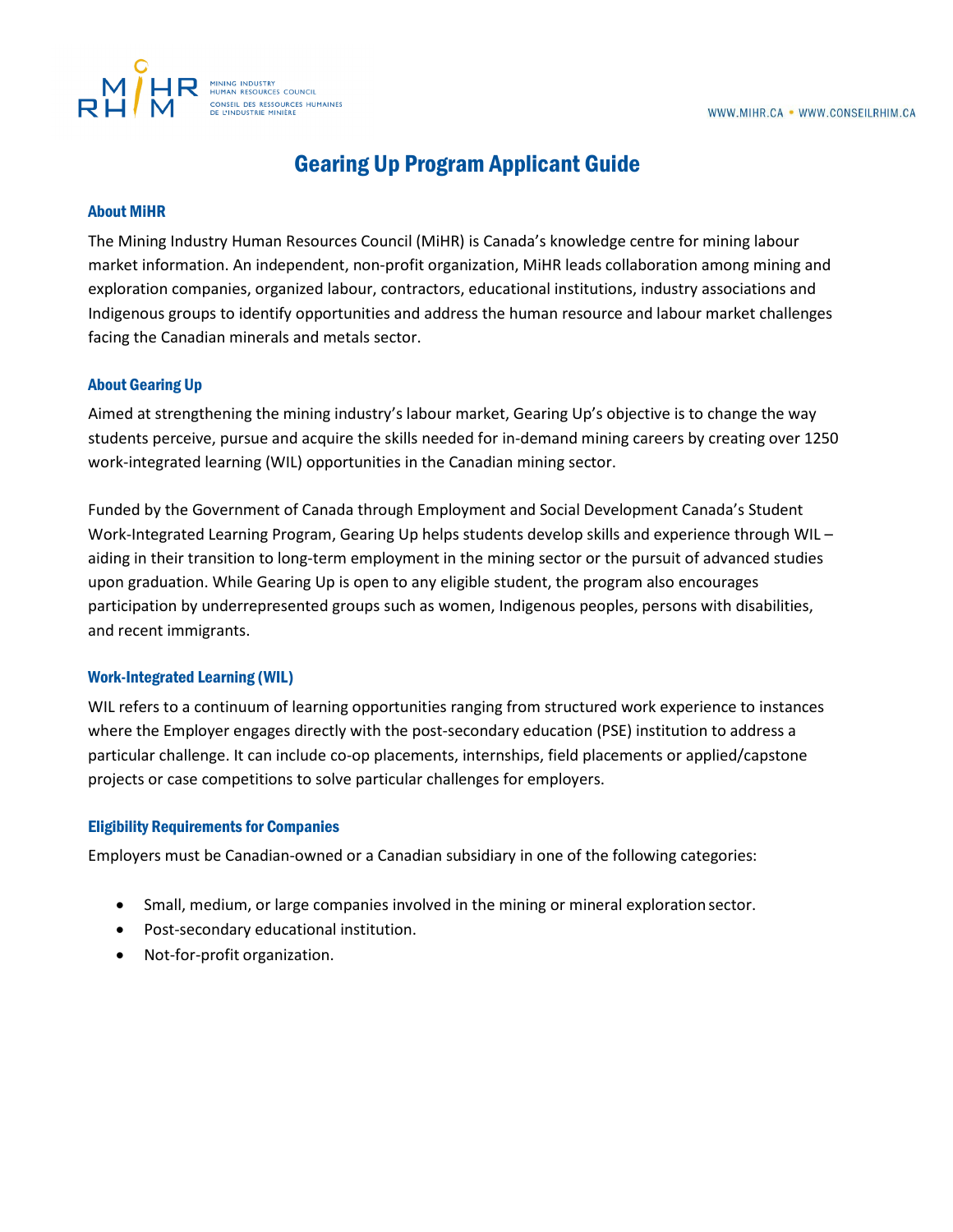

# Gearing Up Program Applicant Guide

# About MiHR

The Mining Industry Human Resources Council (MiHR) is Canada's knowledge centre for mining labour market information. An independent, non-profit organization, MiHR leads collaboration among mining and exploration companies, organized labour, contractors, educational institutions, industry associations and Indigenous groups to identify opportunities and address the human resource and labour market challenges facing the Canadian minerals and metals sector.

# About Gearing Up

Aimed at strengthening the mining industry's labour market, Gearing Up's objective is to change the way students perceive, pursue and acquire the skills needed for in-demand mining careers by creating over 1250 work-integrated learning (WIL) opportunities in the Canadian mining sector.

Funded by the Government of Canada through Employment and Social Development Canada's Student Work-Integrated Learning Program, Gearing Up helps students develop skills and experience through WIL – aiding in their transition to long-term employment in the mining sector or the pursuit of advanced studies upon graduation. While Gearing Up is open to any eligible student, the program also encourages participation by underrepresented groups such as women, Indigenous peoples, persons with disabilities, and recent immigrants.

#### Work-Integrated Learning (WIL)

WIL refers to a continuum of learning opportunities ranging from structured work experience to instances where the Employer engages directly with the post-secondary education (PSE) institution to address a particular challenge. It can include co-op placements, internships, field placements or applied/capstone projects or case competitions to solve particular challenges for employers.

#### Eligibility Requirements for Companies

Employers must be Canadian-owned or a Canadian subsidiary in one of the following categories:

- Small, medium, or large companies involved in the mining or mineral exploration sector.
- Post-secondary educational institution.
- Not-for-profit organization.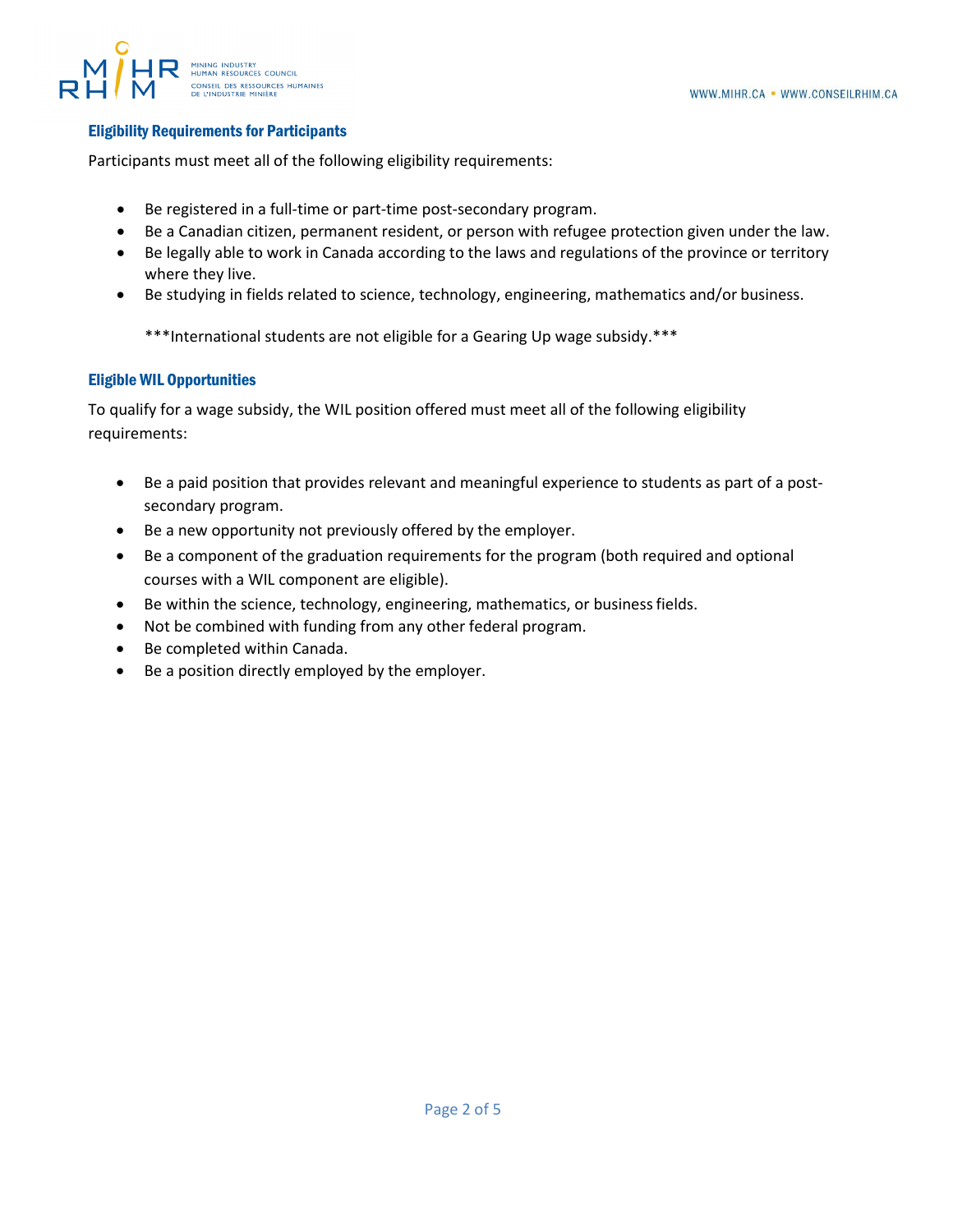## Eligibility Requirements for Participants

Participants must meet all of the following eligibility requirements:

- Be registered in a full-time or part-time post-secondary program.
- Be a Canadian citizen, permanent resident, or person with refugee protection given under the law.
- Be legally able to work in Canada according to the laws and regulations of the province or territory where they live.
- Be studying in fields related to science, technology, engineering, mathematics and/or business.

\*\*\*International students are not eligible for a Gearing Up wage subsidy.\*\*\*

# Eligible WIL Opportunities

To qualify for a wage subsidy, the WIL position offered must meet all of the following eligibility requirements:

- Be a paid position that provides relevant and meaningful experience to students as part of a postsecondary program.
- Be a new opportunity not previously offered by the employer.
- Be a component of the graduation requirements for the program (both required and optional courses with a WIL component are eligible).
- Be within the science, technology, engineering, mathematics, or business fields.
- Not be combined with funding from any other federal program.
- Be completed within Canada.
- Be a position directly employed by the employer.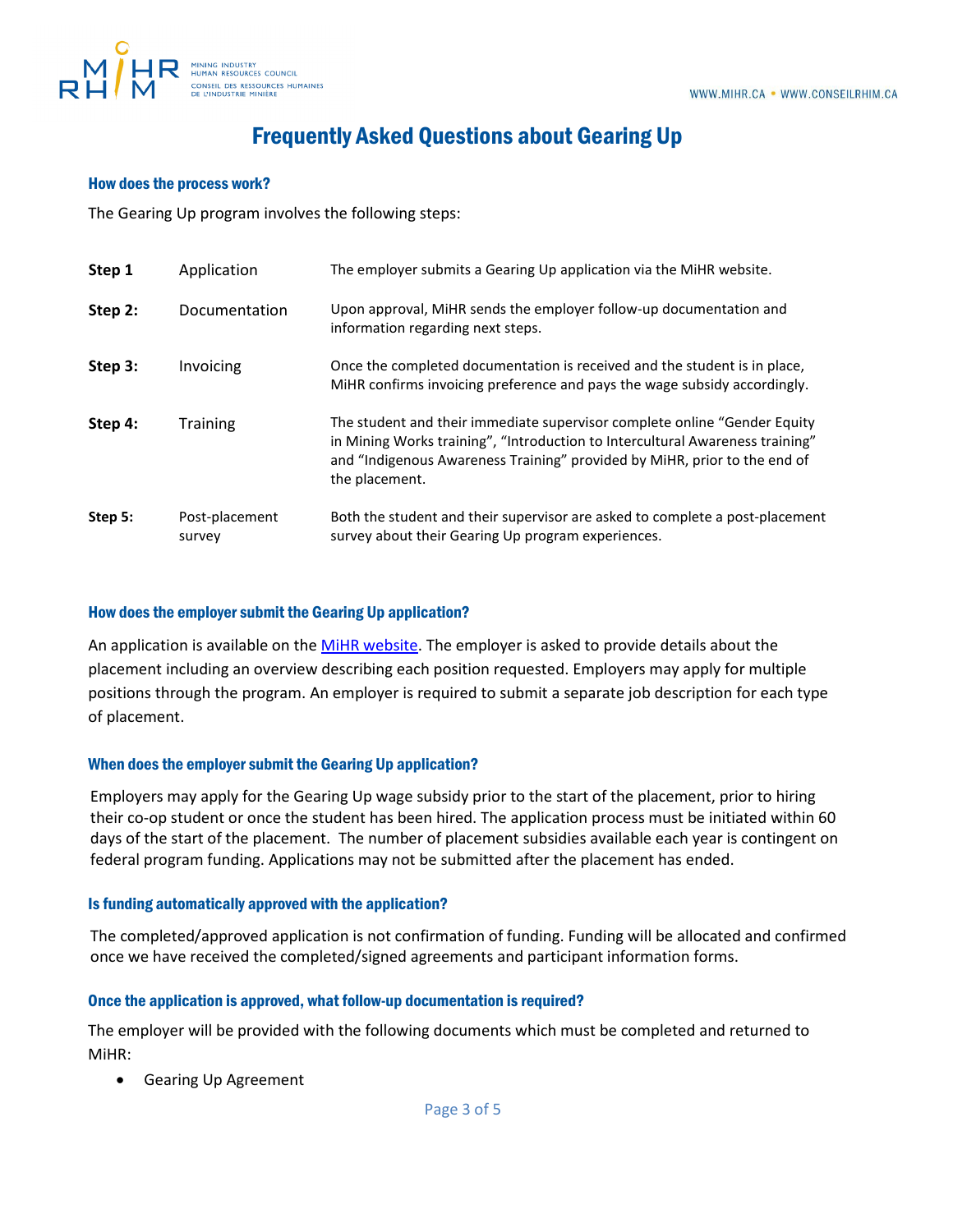

# Frequently Asked Questions about Gearing Up

## How does the process work?

The Gearing Up program involves the following steps:

| Step 1  | Application              | The employer submits a Gearing Up application via the MiHR website.                                                                                                                                                                                        |
|---------|--------------------------|------------------------------------------------------------------------------------------------------------------------------------------------------------------------------------------------------------------------------------------------------------|
| Step 2: | Documentation            | Upon approval, MiHR sends the employer follow-up documentation and<br>information regarding next steps.                                                                                                                                                    |
| Step 3: | Invoicing                | Once the completed documentation is received and the student is in place,<br>MiHR confirms invoicing preference and pays the wage subsidy accordingly.                                                                                                     |
| Step 4: | <b>Training</b>          | The student and their immediate supervisor complete online "Gender Equity"<br>in Mining Works training", "Introduction to Intercultural Awareness training"<br>and "Indigenous Awareness Training" provided by MiHR, prior to the end of<br>the placement. |
| Step 5: | Post-placement<br>survey | Both the student and their supervisor are asked to complete a post-placement<br>survey about their Gearing Up program experiences.                                                                                                                         |

## How does the employer submit the Gearing Up application?

An application is available on the [MiHR website.](https://portal.mihr.ca/gearing-up-application/) The employer is asked to provide details about the placement including an overview describing each position requested. Employers may apply for multiple positions through the program. An employer is required to submit a separate job description for each type of placement.

#### When does the employer submit the Gearing Up application?

Employers may apply for the Gearing Up wage subsidy prior to the start of the placement, prior to hiring their co-op student or once the student has been hired. The application process must be initiated within 60 days of the start of the placement. The number of placement subsidies available each year is contingent on federal program funding. Applications may not be submitted after the placement has ended.

#### Is funding automatically approved with the application?

The completed/approved application is not confirmation of funding. Funding will be allocated and confirmed once we have received the completed/signed agreements and participant information forms.

# Once the application is approved, what follow-up documentation is required?

The employer will be provided with the following documents which must be completed and returned to MiHR:

• Gearing Up Agreement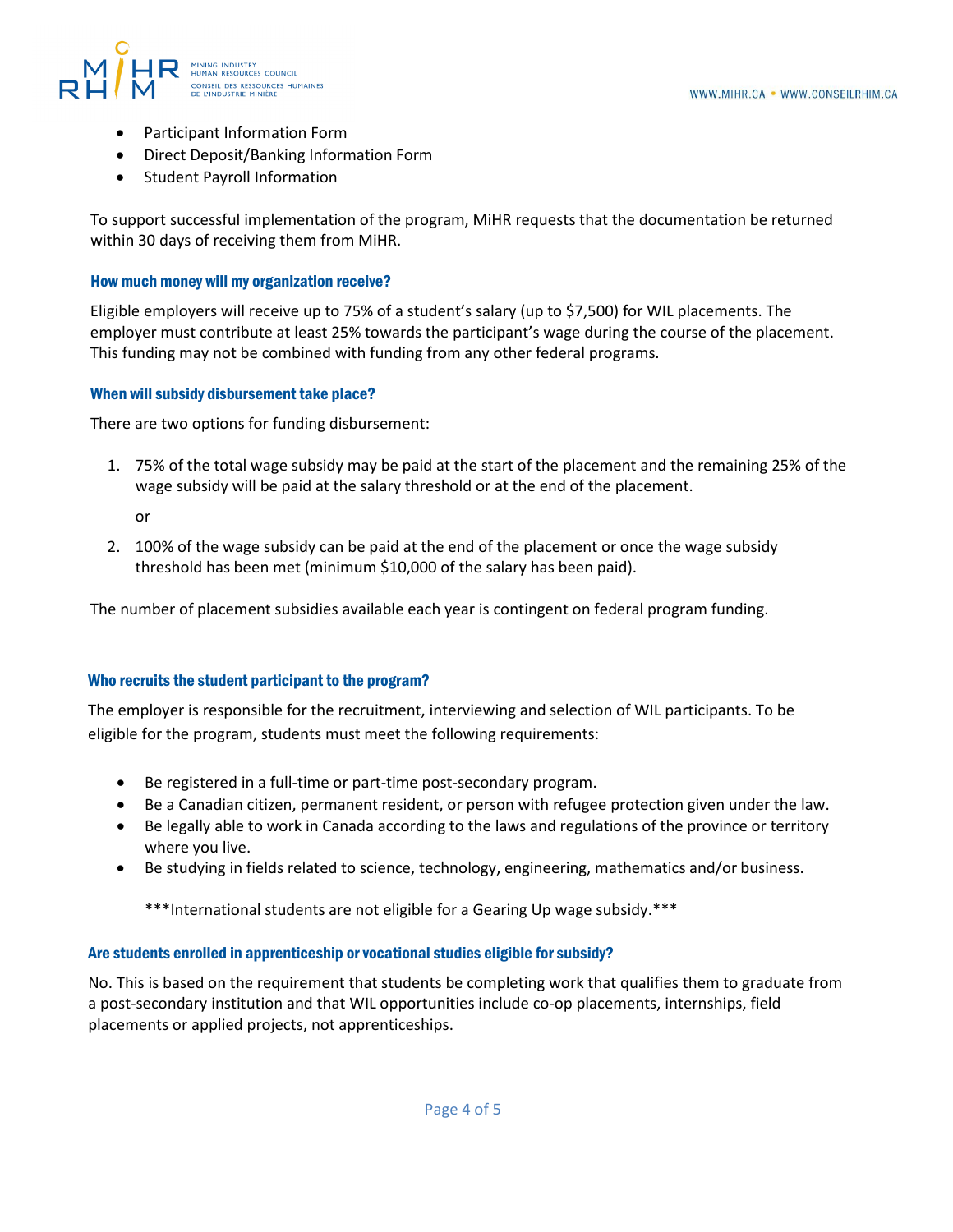

- Participant Information Form
- Direct Deposit/Banking Information Form
- Student Payroll Information

To support successful implementation of the program, MiHR requests that the documentation be returned within 30 days of receiving them from MiHR.

#### How much money will my organization receive?

Eligible employers will receive up to 75% of a student's salary (up to \$7,500) for WIL placements. The employer must contribute at least 25% towards the participant's wage during the course of the placement. This funding may not be combined with funding from any other federal programs.

#### When will subsidy disbursement take place?

There are two options for funding disbursement:

- 1. 75% of the total wage subsidy may be paid at the start of the placement and the remaining 25% of the wage subsidy will be paid at the salary threshold or at the end of the placement.
	- or
- 2. 100% of the wage subsidy can be paid at the end of the placement or once the wage subsidy threshold has been met (minimum \$10,000 of the salary has been paid).

The number of placement subsidies available each year is contingent on federal program funding.

#### Who recruits the student participant to the program?

The employer is responsible for the recruitment, interviewing and selection of WIL participants. To be eligible for the program, students must meet the following requirements:

- Be registered in a full-time or part-time post-secondary program.
- Be a Canadian citizen, permanent resident, or person with refugee protection given under the law.
- Be legally able to work in Canada according to the laws and regulations of the province or territory where you live.
- Be studying in fields related to science, technology, engineering, mathematics and/or business.

\*\*\*International students are not eligible for a Gearing Up wage subsidy.\*\*\*

#### Are students enrolled in apprenticeship or vocational studies eligible for subsidy?

No. This is based on the requirement that students be completing work that qualifies them to graduate from a post-secondary institution and that WIL opportunities include co-op placements, internships, field placements or applied projects, not apprenticeships.